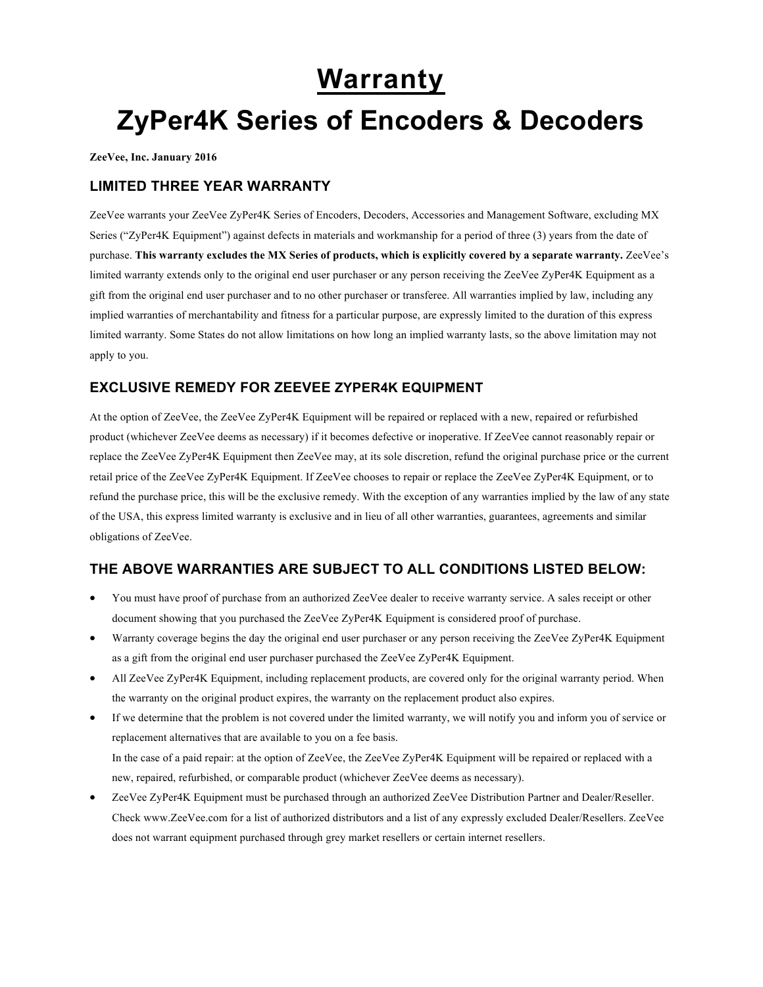# **Warranty**

# **ZyPer4K Series of Encoders & Decoders**

**ZeeVee, Inc. January 2016**

#### **LIMITED THREE YEAR WARRANTY**

ZeeVee warrants your ZeeVee ZyPer4K Series of Encoders, Decoders, Accessories and Management Software, excluding MX Series ("ZyPer4K Equipment") against defects in materials and workmanship for a period of three (3) years from the date of purchase. **This warranty excludes the MX Series of products, which is explicitly covered by a separate warranty.** ZeeVee's limited warranty extends only to the original end user purchaser or any person receiving the ZeeVee ZyPer4K Equipment as a gift from the original end user purchaser and to no other purchaser or transferee. All warranties implied by law, including any implied warranties of merchantability and fitness for a particular purpose, are expressly limited to the duration of this express limited warranty. Some States do not allow limitations on how long an implied warranty lasts, so the above limitation may not apply to you.

### **EXCLUSIVE REMEDY FOR ZEEVEE ZYPER4K EQUIPMENT**

At the option of ZeeVee, the ZeeVee ZyPer4K Equipment will be repaired or replaced with a new, repaired or refurbished product (whichever ZeeVee deems as necessary) if it becomes defective or inoperative. If ZeeVee cannot reasonably repair or replace the ZeeVee ZyPer4K Equipment then ZeeVee may, at its sole discretion, refund the original purchase price or the current retail price of the ZeeVee ZyPer4K Equipment. If ZeeVee chooses to repair or replace the ZeeVee ZyPer4K Equipment, or to refund the purchase price, this will be the exclusive remedy. With the exception of any warranties implied by the law of any state of the USA, this express limited warranty is exclusive and in lieu of all other warranties, guarantees, agreements and similar obligations of ZeeVee.

## **THE ABOVE WARRANTIES ARE SUBJECT TO ALL CONDITIONS LISTED BELOW:**

- You must have proof of purchase from an authorized ZeeVee dealer to receive warranty service. A sales receipt or other document showing that you purchased the ZeeVee ZyPer4K Equipment is considered proof of purchase.
- Warranty coverage begins the day the original end user purchaser or any person receiving the ZeeVee ZyPer4K Equipment as a gift from the original end user purchaser purchased the ZeeVee ZyPer4K Equipment.
- All ZeeVee ZyPer4K Equipment, including replacement products, are covered only for the original warranty period. When the warranty on the original product expires, the warranty on the replacement product also expires.
- If we determine that the problem is not covered under the limited warranty, we will notify you and inform you of service or replacement alternatives that are available to you on a fee basis. In the case of a paid repair: at the option of ZeeVee, the ZeeVee ZyPer4K Equipment will be repaired or replaced with a new, repaired, refurbished, or comparable product (whichever ZeeVee deems as necessary).
- ZeeVee ZyPer4K Equipment must be purchased through an authorized ZeeVee Distribution Partner and Dealer/Reseller. Check www.ZeeVee.com for a list of authorized distributors and a list of any expressly excluded Dealer/Resellers. ZeeVee does not warrant equipment purchased through grey market resellers or certain internet resellers.